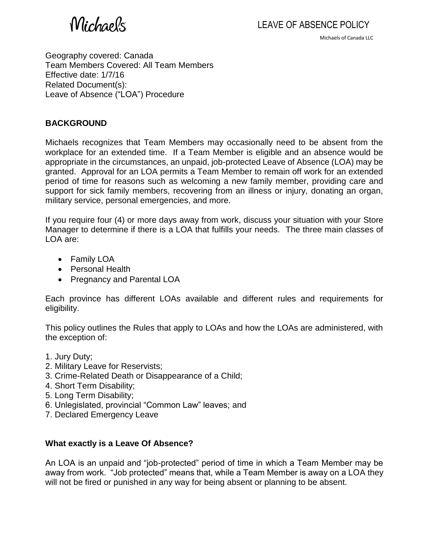Michaels

Michaels of Canada LLC

Geography covered: Canada Team Members Covered: All Team Members Effective date: 1/7/16 Related Document(s): Leave of Absence ("LOA") Procedure

### **BACKGROUND**

Michaels recognizes that Team Members may occasionally need to be absent from the workplace for an extended time. If a Team Member is eligible and an absence would be appropriate in the circumstances, an unpaid, job-protected Leave of Absence (LOA) may be granted. Approval for an LOA permits a Team Member to remain off work for an extended period of time for reasons such as welcoming a new family member, providing care and support for sick family members, recovering from an illness or injury, donating an organ, military service, personal emergencies, and more.

If you require four (4) or more days away from work, discuss your situation with your Store Manager to determine if there is a LOA that fulfills your needs. The three main classes of LOA are:

- Family LOA
- Personal Health
- Pregnancy and Parental LOA

Each province has different LOAs available and different rules and requirements for eligibility.

This policy outlines the Rules that apply to LOAs and how the LOAs are administered, with the exception of:

- 1. Jury Duty;
- 2. Military Leave for Reservists;
- 3. Crime-Related Death or Disappearance of a Child;
- 4. Short Term Disability;
- 5. Long Term Disability;
- 6. Unlegislated, provincial "Common Law" leaves; and
- 7. Declared Emergency Leave

### **What exactly is a Leave Of Absence?**

An LOA is an unpaid and "job-protected" period of time in which a Team Member may be away from work. "Job protected" means that, while a Team Member is away on a LOA they will not be fired or punished in any way for being absent or planning to be absent.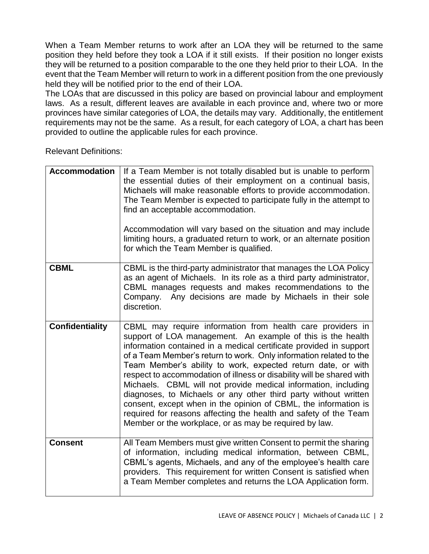When a Team Member returns to work after an LOA they will be returned to the same position they held before they took a LOA if it still exists. If their position no longer exists they will be returned to a position comparable to the one they held prior to their LOA. In the event that the Team Member will return to work in a different position from the one previously held they will be notified prior to the end of their LOA.

The LOAs that are discussed in this policy are based on provincial labour and employment laws. As a result, different leaves are available in each province and, where two or more provinces have similar categories of LOA, the details may vary. Additionally, the entitlement requirements may not be the same. As a result, for each category of LOA, a chart has been provided to outline the applicable rules for each province.

Relevant Definitions:

| <b>Accommodation</b>   | If a Team Member is not totally disabled but is unable to perform<br>the essential duties of their employment on a continual basis,<br>Michaels will make reasonable efforts to provide accommodation.<br>The Team Member is expected to participate fully in the attempt to<br>find an acceptable accommodation.<br>Accommodation will vary based on the situation and may include<br>limiting hours, a graduated return to work, or an alternate position<br>for which the Team Member is qualified.                                                                                                                                                                                                                                               |
|------------------------|------------------------------------------------------------------------------------------------------------------------------------------------------------------------------------------------------------------------------------------------------------------------------------------------------------------------------------------------------------------------------------------------------------------------------------------------------------------------------------------------------------------------------------------------------------------------------------------------------------------------------------------------------------------------------------------------------------------------------------------------------|
| <b>CBML</b>            | CBML is the third-party administrator that manages the LOA Policy<br>as an agent of Michaels. In its role as a third party administrator,<br>CBML manages requests and makes recommendations to the<br>Any decisions are made by Michaels in their sole<br>Company.<br>discretion.                                                                                                                                                                                                                                                                                                                                                                                                                                                                   |
| <b>Confidentiality</b> | CBML may require information from health care providers in<br>support of LOA management. An example of this is the health<br>information contained in a medical certificate provided in support<br>of a Team Member's return to work. Only information related to the<br>Team Member's ability to work, expected return date, or with<br>respect to accommodation of illness or disability will be shared with<br>Michaels. CBML will not provide medical information, including<br>diagnoses, to Michaels or any other third party without written<br>consent, except when in the opinion of CBML, the information is<br>required for reasons affecting the health and safety of the Team<br>Member or the workplace, or as may be required by law. |
| <b>Consent</b>         | All Team Members must give written Consent to permit the sharing<br>of information, including medical information, between CBML,<br>CBML's agents, Michaels, and any of the employee's health care<br>providers. This requirement for written Consent is satisfied when<br>a Team Member completes and returns the LOA Application form.                                                                                                                                                                                                                                                                                                                                                                                                             |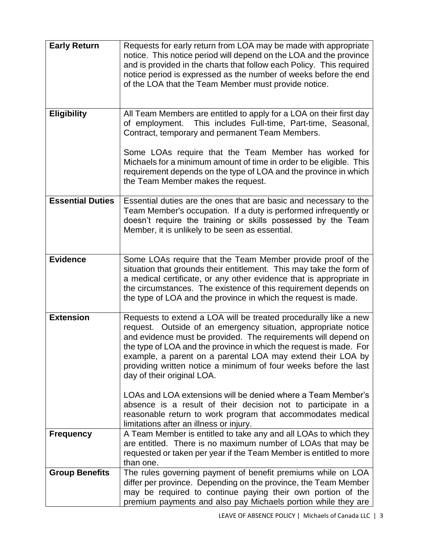| <b>Early Return</b>     | Requests for early return from LOA may be made with appropriate                                                                 |
|-------------------------|---------------------------------------------------------------------------------------------------------------------------------|
|                         | notice. This notice period will depend on the LOA and the province                                                              |
|                         | and is provided in the charts that follow each Policy. This required                                                            |
|                         | notice period is expressed as the number of weeks before the end<br>of the LOA that the Team Member must provide notice.        |
|                         |                                                                                                                                 |
|                         |                                                                                                                                 |
| <b>Eligibility</b>      | All Team Members are entitled to apply for a LOA on their first day                                                             |
|                         | This includes Full-time, Part-time, Seasonal,<br>of employment.                                                                 |
|                         | Contract, temporary and permanent Team Members.                                                                                 |
|                         | Some LOAs require that the Team Member has worked for                                                                           |
|                         | Michaels for a minimum amount of time in order to be eligible. This                                                             |
|                         | requirement depends on the type of LOA and the province in which                                                                |
|                         | the Team Member makes the request.                                                                                              |
| <b>Essential Duties</b> | Essential duties are the ones that are basic and necessary to the                                                               |
|                         | Team Member's occupation. If a duty is performed infrequently or                                                                |
|                         | doesn't require the training or skills possessed by the Team                                                                    |
|                         | Member, it is unlikely to be seen as essential.                                                                                 |
|                         |                                                                                                                                 |
| <b>Evidence</b>         | Some LOAs require that the Team Member provide proof of the                                                                     |
|                         | situation that grounds their entitlement. This may take the form of                                                             |
|                         | a medical certificate, or any other evidence that is appropriate in                                                             |
|                         | the circumstances. The existence of this requirement depends on                                                                 |
|                         | the type of LOA and the province in which the request is made.                                                                  |
| <b>Extension</b>        | Requests to extend a LOA will be treated procedurally like a new                                                                |
|                         | request. Outside of an emergency situation, appropriate notice                                                                  |
|                         | and evidence must be provided. The requirements will depend on                                                                  |
|                         | the type of LOA and the province in which the request is made. For                                                              |
|                         | example, a parent on a parental LOA may extend their LOA by<br>providing written notice a minimum of four weeks before the last |
|                         | day of their original LOA.                                                                                                      |
|                         |                                                                                                                                 |
|                         | LOAs and LOA extensions will be denied where a Team Member's                                                                    |
|                         | absence is a result of their decision not to participate in a<br>reasonable return to work program that accommodates medical    |
|                         | limitations after an illness or injury.                                                                                         |
| <b>Frequency</b>        | A Team Member is entitled to take any and all LOAs to which they                                                                |
|                         | are entitled. There is no maximum number of LOAs that may be                                                                    |
|                         | requested or taken per year if the Team Member is entitled to more                                                              |
|                         | than one.                                                                                                                       |
| <b>Group Benefits</b>   | The rules governing payment of benefit premiums while on LOA<br>differ per province. Depending on the province, the Team Member |
|                         | may be required to continue paying their own portion of the                                                                     |
|                         | premium payments and also pay Michaels portion while they are                                                                   |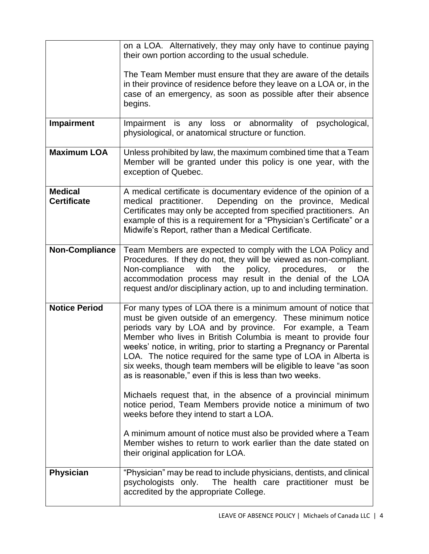|                                      | on a LOA. Alternatively, they may only have to continue paying<br>their own portion according to the usual schedule.                                                                                                                                                                                                                                                                                                                                                                                                                                                                                                                                                                                              |
|--------------------------------------|-------------------------------------------------------------------------------------------------------------------------------------------------------------------------------------------------------------------------------------------------------------------------------------------------------------------------------------------------------------------------------------------------------------------------------------------------------------------------------------------------------------------------------------------------------------------------------------------------------------------------------------------------------------------------------------------------------------------|
|                                      | The Team Member must ensure that they are aware of the details<br>in their province of residence before they leave on a LOA or, in the<br>case of an emergency, as soon as possible after their absence<br>begins.                                                                                                                                                                                                                                                                                                                                                                                                                                                                                                |
| Impairment                           | Impairment is any loss or abnormality of<br>psychological,<br>physiological, or anatomical structure or function.                                                                                                                                                                                                                                                                                                                                                                                                                                                                                                                                                                                                 |
| <b>Maximum LOA</b>                   | Unless prohibited by law, the maximum combined time that a Team<br>Member will be granted under this policy is one year, with the<br>exception of Quebec.                                                                                                                                                                                                                                                                                                                                                                                                                                                                                                                                                         |
| <b>Medical</b><br><b>Certificate</b> | A medical certificate is documentary evidence of the opinion of a<br>medical practitioner.<br>Depending on the province, Medical<br>Certificates may only be accepted from specified practitioners. An<br>example of this is a requirement for a "Physician's Certificate" or a<br>Midwife's Report, rather than a Medical Certificate.                                                                                                                                                                                                                                                                                                                                                                           |
| <b>Non-Compliance</b>                | Team Members are expected to comply with the LOA Policy and<br>Procedures. If they do not, they will be viewed as non-compliant.<br>Non-compliance<br>with<br>the<br>policy, procedures,<br>the<br>or<br>accommodation process may result in the denial of the LOA<br>request and/or disciplinary action, up to and including termination.                                                                                                                                                                                                                                                                                                                                                                        |
| <b>Notice Period</b>                 | For many types of LOA there is a minimum amount of notice that<br>must be given outside of an emergency. These minimum notice<br>periods vary by LOA and by province. For example, a Team<br>Member who lives in British Columbia is meant to provide four<br>weeks' notice, in writing, prior to starting a Pregnancy or Parental<br>LOA. The notice required for the same type of LOA in Alberta is<br>six weeks, though team members will be eligible to leave "as soon<br>as is reasonable," even if this is less than two weeks.<br>Michaels request that, in the absence of a provincial minimum<br>notice period, Team Members provide notice a minimum of two<br>weeks before they intend to start a LOA. |
|                                      | A minimum amount of notice must also be provided where a Team<br>Member wishes to return to work earlier than the date stated on<br>their original application for LOA.                                                                                                                                                                                                                                                                                                                                                                                                                                                                                                                                           |
| <b>Physician</b>                     | "Physician" may be read to include physicians, dentists, and clinical<br>psychologists only.<br>The health care practitioner must be<br>accredited by the appropriate College.                                                                                                                                                                                                                                                                                                                                                                                                                                                                                                                                    |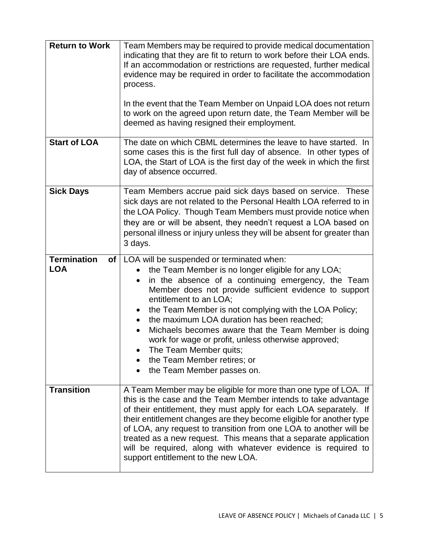| <b>Return to Work</b>                    | Team Members may be required to provide medical documentation<br>indicating that they are fit to return to work before their LOA ends.<br>If an accommodation or restrictions are requested, further medical<br>evidence may be required in order to facilitate the accommodation<br>process.<br>In the event that the Team Member on Unpaid LOA does not return<br>to work on the agreed upon return date, the Team Member will be<br>deemed as having resigned their employment.                                                                                           |
|------------------------------------------|------------------------------------------------------------------------------------------------------------------------------------------------------------------------------------------------------------------------------------------------------------------------------------------------------------------------------------------------------------------------------------------------------------------------------------------------------------------------------------------------------------------------------------------------------------------------------|
| <b>Start of LOA</b>                      | The date on which CBML determines the leave to have started. In<br>some cases this is the first full day of absence. In other types of<br>LOA, the Start of LOA is the first day of the week in which the first<br>day of absence occurred.                                                                                                                                                                                                                                                                                                                                  |
| <b>Sick Days</b>                         | Team Members accrue paid sick days based on service. These<br>sick days are not related to the Personal Health LOA referred to in<br>the LOA Policy. Though Team Members must provide notice when<br>they are or will be absent, they needn't request a LOA based on<br>personal illness or injury unless they will be absent for greater than<br>3 days.                                                                                                                                                                                                                    |
| <b>Termination</b><br>of l<br><b>LOA</b> | LOA will be suspended or terminated when:<br>the Team Member is no longer eligible for any LOA;<br>in the absence of a continuing emergency, the Team<br>$\bullet$<br>Member does not provide sufficient evidence to support<br>entitlement to an LOA;<br>the Team Member is not complying with the LOA Policy;<br>$\bullet$<br>the maximum LOA duration has been reached;<br>$\bullet$<br>Michaels becomes aware that the Team Member is doing<br>$\bullet$<br>work for wage or profit, unless otherwise approved;<br>The Team Member quits;<br>the Team Member retires; or |
|                                          | the Team Member passes on.                                                                                                                                                                                                                                                                                                                                                                                                                                                                                                                                                   |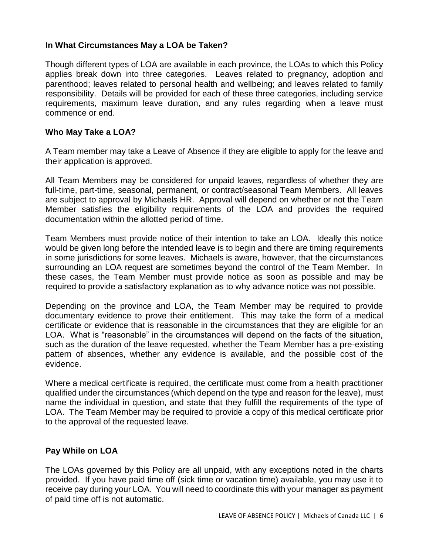### **In What Circumstances May a LOA be Taken?**

Though different types of LOA are available in each province, the LOAs to which this Policy applies break down into three categories. Leaves related to pregnancy, adoption and parenthood; leaves related to personal health and wellbeing; and leaves related to family responsibility. Details will be provided for each of these three categories, including service requirements, maximum leave duration, and any rules regarding when a leave must commence or end.

#### **Who May Take a LOA?**

A Team member may take a Leave of Absence if they are eligible to apply for the leave and their application is approved.

All Team Members may be considered for unpaid leaves, regardless of whether they are full-time, part-time, seasonal, permanent, or contract/seasonal Team Members. All leaves are subject to approval by Michaels HR. Approval will depend on whether or not the Team Member satisfies the eligibility requirements of the LOA and provides the required documentation within the allotted period of time.

Team Members must provide notice of their intention to take an LOA. Ideally this notice would be given long before the intended leave is to begin and there are timing requirements in some jurisdictions for some leaves. Michaels is aware, however, that the circumstances surrounding an LOA request are sometimes beyond the control of the Team Member. In these cases, the Team Member must provide notice as soon as possible and may be required to provide a satisfactory explanation as to why advance notice was not possible.

Depending on the province and LOA, the Team Member may be required to provide documentary evidence to prove their entitlement. This may take the form of a medical certificate or evidence that is reasonable in the circumstances that they are eligible for an LOA. What is "reasonable" in the circumstances will depend on the facts of the situation, such as the duration of the leave requested, whether the Team Member has a pre-existing pattern of absences, whether any evidence is available, and the possible cost of the evidence.

Where a medical certificate is required, the certificate must come from a health practitioner qualified under the circumstances (which depend on the type and reason for the leave), must name the individual in question, and state that they fulfill the requirements of the type of LOA. The Team Member may be required to provide a copy of this medical certificate prior to the approval of the requested leave.

### **Pay While on LOA**

The LOAs governed by this Policy are all unpaid, with any exceptions noted in the charts provided. If you have paid time off (sick time or vacation time) available, you may use it to receive pay during your LOA. You will need to coordinate this with your manager as payment of paid time off is not automatic.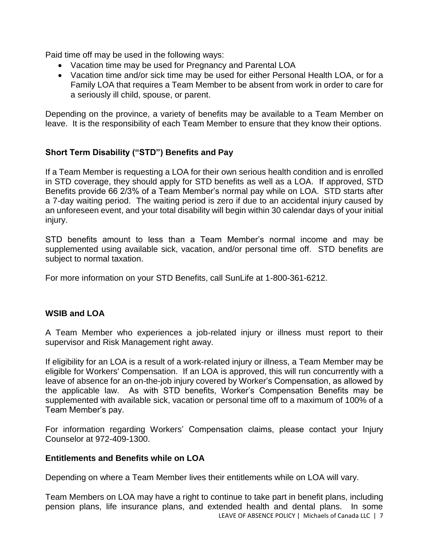Paid time off may be used in the following ways:

- Vacation time may be used for Pregnancy and Parental LOA
- Vacation time and/or sick time may be used for either Personal Health LOA, or for a Family LOA that requires a Team Member to be absent from work in order to care for a seriously ill child, spouse, or parent.

Depending on the province, a variety of benefits may be available to a Team Member on leave. It is the responsibility of each Team Member to ensure that they know their options.

# **Short Term Disability ("STD") Benefits and Pay**

If a Team Member is requesting a LOA for their own serious health condition and is enrolled in STD coverage, they should apply for STD benefits as well as a LOA. If approved, STD Benefits provide 66 2/3% of a Team Member's normal pay while on LOA. STD starts after a 7-day waiting period. The waiting period is zero if due to an accidental injury caused by an unforeseen event, and your total disability will begin within 30 calendar days of your initial injury.

STD benefits amount to less than a Team Member's normal income and may be supplemented using available sick, vacation, and/or personal time off. STD benefits are subject to normal taxation.

For more information on your STD Benefits, call SunLife at 1-800-361-6212.

# **WSIB and LOA**

A Team Member who experiences a job-related injury or illness must report to their supervisor and Risk Management right away.

If eligibility for an LOA is a result of a work-related injury or illness, a Team Member may be eligible for Workers' Compensation. If an LOA is approved, this will run concurrently with a leave of absence for an on-the-job injury covered by Worker's Compensation, as allowed by the applicable law. As with STD benefits, Worker's Compensation Benefits may be supplemented with available sick, vacation or personal time off to a maximum of 100% of a Team Member's pay.

For information regarding Workers' Compensation claims, please contact your Injury Counselor at 972-409-1300.

### **Entitlements and Benefits while on LOA**

Depending on where a Team Member lives their entitlements while on LOA will vary.

LEAVE OF ABSENCE POLICY | Michaels of Canada LLC | 7 Team Members on LOA may have a right to continue to take part in benefit plans, including pension plans, life insurance plans, and extended health and dental plans. In some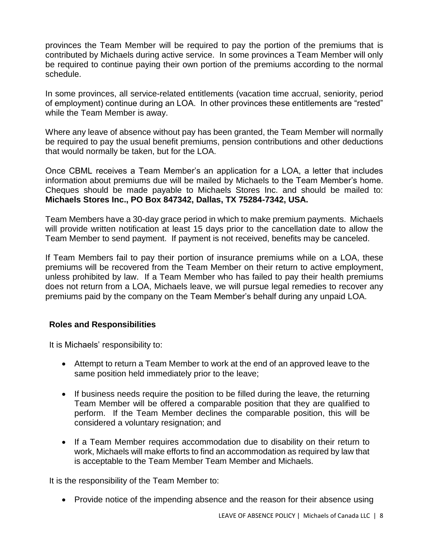provinces the Team Member will be required to pay the portion of the premiums that is contributed by Michaels during active service. In some provinces a Team Member will only be required to continue paying their own portion of the premiums according to the normal schedule.

In some provinces, all service-related entitlements (vacation time accrual, seniority, period of employment) continue during an LOA. In other provinces these entitlements are "rested" while the Team Member is away.

Where any leave of absence without pay has been granted, the Team Member will normally be required to pay the usual benefit premiums, pension contributions and other deductions that would normally be taken, but for the LOA.

Once CBML receives a Team Member's an application for a LOA, a letter that includes information about premiums due will be mailed by Michaels to the Team Member's home. Cheques should be made payable to Michaels Stores Inc. and should be mailed to: **Michaels Stores Inc., PO Box 847342, Dallas, TX 75284-7342, USA.** 

Team Members have a 30-day grace period in which to make premium payments. Michaels will provide written notification at least 15 days prior to the cancellation date to allow the Team Member to send payment. If payment is not received, benefits may be canceled.

If Team Members fail to pay their portion of insurance premiums while on a LOA, these premiums will be recovered from the Team Member on their return to active employment, unless prohibited by law. If a Team Member who has failed to pay their health premiums does not return from a LOA, Michaels leave, we will pursue legal remedies to recover any premiums paid by the company on the Team Member's behalf during any unpaid LOA.

### **Roles and Responsibilities**

It is Michaels' responsibility to:

- Attempt to return a Team Member to work at the end of an approved leave to the same position held immediately prior to the leave;
- If business needs require the position to be filled during the leave, the returning Team Member will be offered a comparable position that they are qualified to perform. If the Team Member declines the comparable position, this will be considered a voluntary resignation; and
- If a Team Member requires accommodation due to disability on their return to work, Michaels will make efforts to find an accommodation as required by law that is acceptable to the Team Member Team Member and Michaels.

It is the responsibility of the Team Member to:

• Provide notice of the impending absence and the reason for their absence using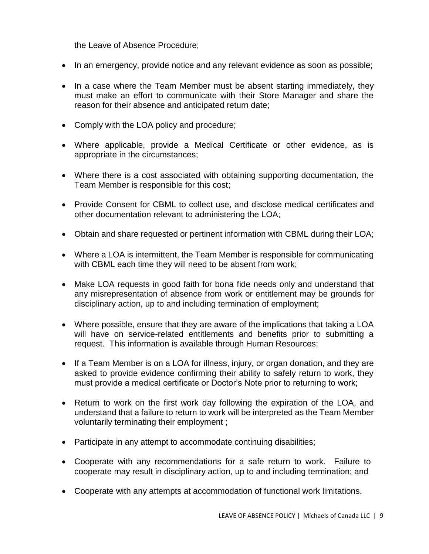the Leave of Absence Procedure;

- In an emergency, provide notice and any relevant evidence as soon as possible;
- In a case where the Team Member must be absent starting immediately, they must make an effort to communicate with their Store Manager and share the reason for their absence and anticipated return date;
- Comply with the LOA policy and procedure;
- Where applicable, provide a Medical Certificate or other evidence, as is appropriate in the circumstances;
- Where there is a cost associated with obtaining supporting documentation, the Team Member is responsible for this cost;
- Provide Consent for CBML to collect use, and disclose medical certificates and other documentation relevant to administering the LOA;
- Obtain and share requested or pertinent information with CBML during their LOA;
- Where a LOA is intermittent, the Team Member is responsible for communicating with CBML each time they will need to be absent from work;
- Make LOA requests in good faith for bona fide needs only and understand that any misrepresentation of absence from work or entitlement may be grounds for disciplinary action, up to and including termination of employment;
- Where possible, ensure that they are aware of the implications that taking a LOA will have on service-related entitlements and benefits prior to submitting a request. This information is available through Human Resources;
- If a Team Member is on a LOA for illness, injury, or organ donation, and they are asked to provide evidence confirming their ability to safely return to work, they must provide a medical certificate or Doctor's Note prior to returning to work;
- Return to work on the first work day following the expiration of the LOA, and understand that a failure to return to work will be interpreted as the Team Member voluntarily terminating their employment ;
- Participate in any attempt to accommodate continuing disabilities;
- Cooperate with any recommendations for a safe return to work. Failure to cooperate may result in disciplinary action, up to and including termination; and
- Cooperate with any attempts at accommodation of functional work limitations.